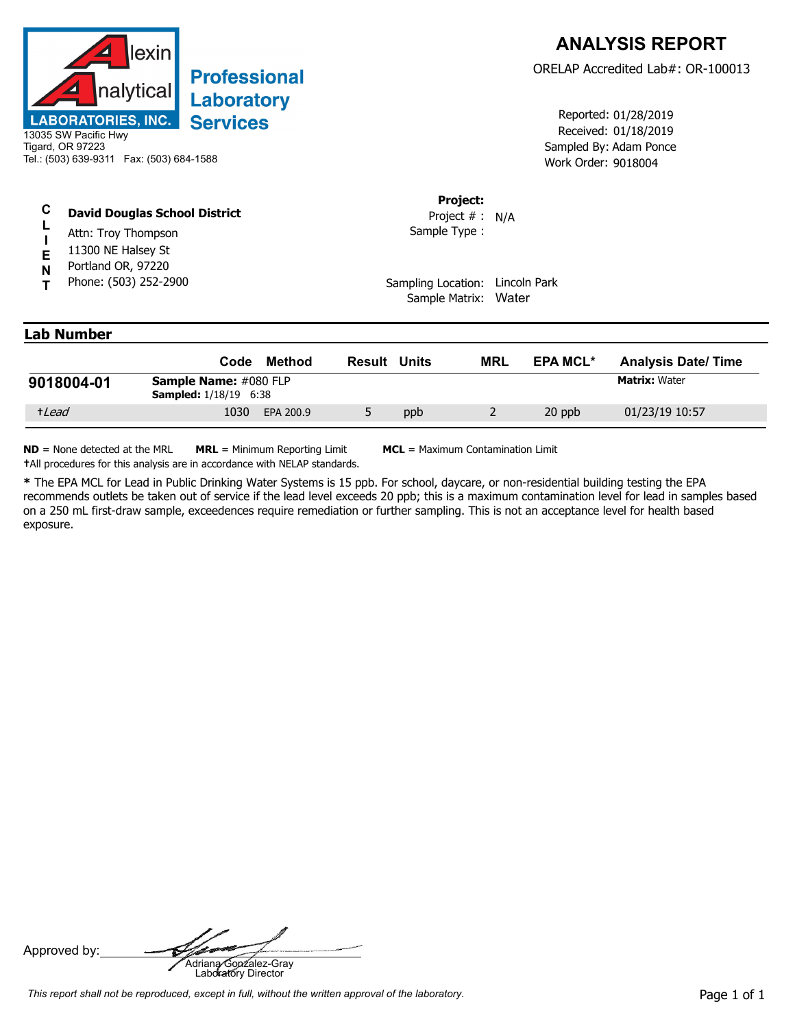

## **Professional** Laboratory **Services**

## **C David Douglas School District**

- **L** Attn: Troy Thompson
- **I E** 11300 NE Halsey St
- **N** Portland OR, 97220
- **T** Phone: (503) 252-2900

Received: 01/18/2019 Work Order: 9018004 Reported: 01/28/2019 Sampled By: Adam Ponce

## **Project:**

Sample Type : Project # : N/A

Sampling Location: Lincoln Park Sample Matrix: Water

## **Lab Number**

|            | Code                                                         | Method    | Result | Units | <b>MRL</b> | <b>EPA MCL*</b> | <b>Analysis Date/Time</b> |
|------------|--------------------------------------------------------------|-----------|--------|-------|------------|-----------------|---------------------------|
| 9018004-01 | <b>Sample Name: #080 FLP</b><br><b>Sampled:</b> 1/18/19 6:38 |           |        |       |            |                 | <b>Matrix: Water</b>      |
| +Lead      | 1030                                                         | EPA 200.9 |        | ppb   |            | 20 ppb          | 01/23/19 10:57            |

**ND** = None detected at the MRL **MRL** = Minimum Reporting Limit **MCL** = Maximum Contamination Limit **†**All procedures for this analysis are in accordance with NELAP standards.

**\*** The EPA MCL for Lead in Public Drinking Water Systems is 15 ppb. For school, daycare, or non-residential building testing the EPA recommends outlets be taken out of service if the lead level exceeds 20 ppb; this is a maximum contamination level for lead in samples based on a 250 mL first-draw sample, exceedences require remediation or further sampling. This is not an acceptance level for health based exposure.

Approved by: **Adriana Gonzalez-Gray**<br>Adriana Gonzalez-Gray<br>Laboratory Director